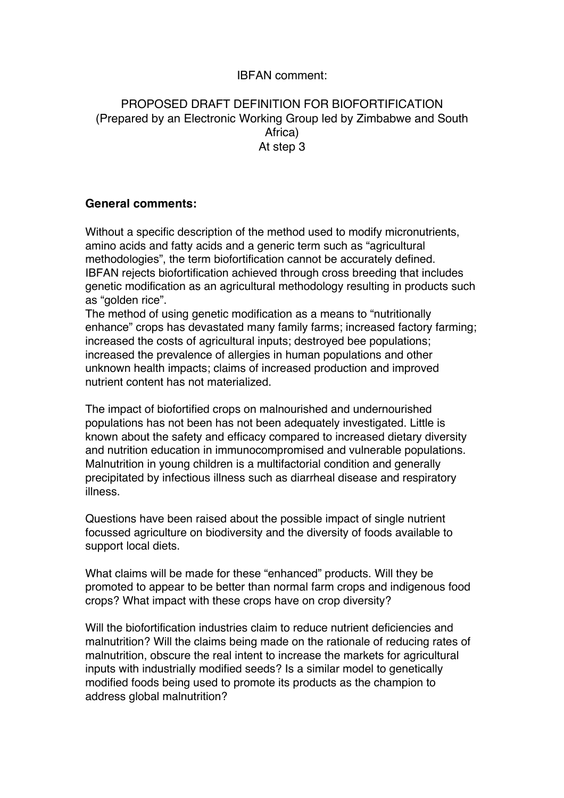## IBFAN comment:

## PROPOSED DRAFT DEFINITION FOR BIOFORTIFICATION (Prepared by an Electronic Working Group led by Zimbabwe and South Africa) At step 3

## **General comments:**

Without a specific description of the method used to modify micronutrients, amino acids and fatty acids and a generic term such as "agricultural methodologies", the term biofortification cannot be accurately defined. IBFAN rejects biofortification achieved through cross breeding that includes genetic modification as an agricultural methodology resulting in products such as "golden rice".

The method of using genetic modification as a means to "nutritionally enhance" crops has devastated many family farms; increased factory farming; increased the costs of agricultural inputs; destroyed bee populations; increased the prevalence of allergies in human populations and other unknown health impacts; claims of increased production and improved nutrient content has not materialized.

The impact of biofortified crops on malnourished and undernourished populations has not been has not been adequately investigated. Little is known about the safety and efficacy compared to increased dietary diversity and nutrition education in immunocompromised and vulnerable populations. Malnutrition in young children is a multifactorial condition and generally precipitated by infectious illness such as diarrheal disease and respiratory illness.

Questions have been raised about the possible impact of single nutrient focussed agriculture on biodiversity and the diversity of foods available to support local diets.

What claims will be made for these "enhanced" products. Will they be promoted to appear to be better than normal farm crops and indigenous food crops? What impact with these crops have on crop diversity?

Will the biofortification industries claim to reduce nutrient deficiencies and malnutrition? Will the claims being made on the rationale of reducing rates of malnutrition, obscure the real intent to increase the markets for agricultural inputs with industrially modified seeds? Is a similar model to genetically modified foods being used to promote its products as the champion to address global malnutrition?